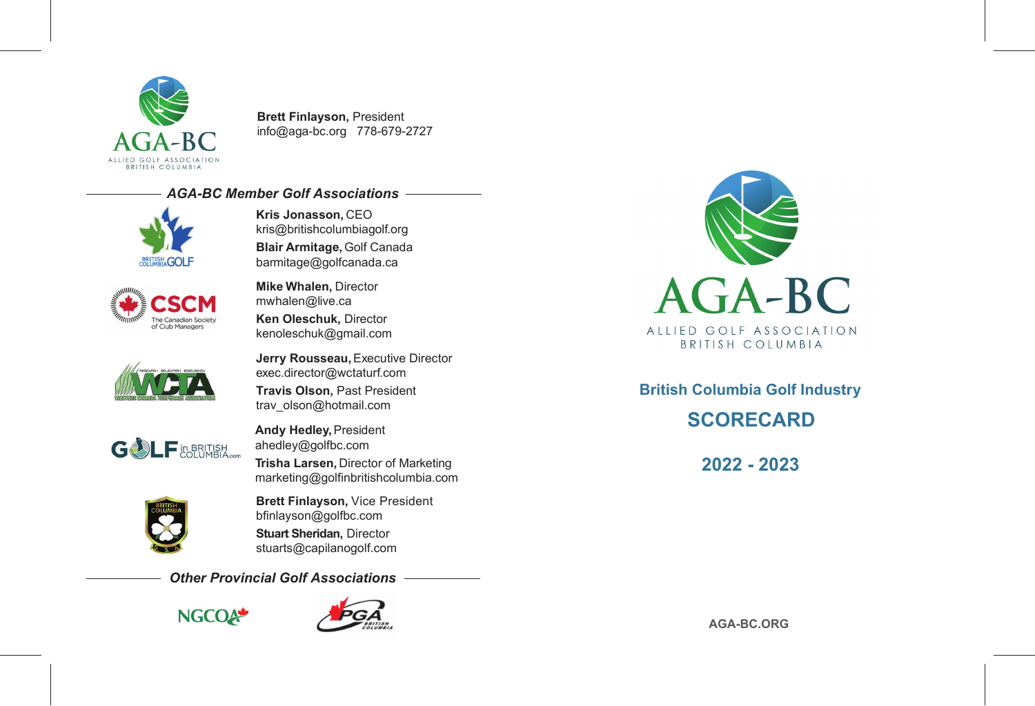

**Brett Finlayson,** President info@aga-bc.org 778-679-2727

## *AGA-BC Member Golf Associations*



kris@britishcolumbiagolf.org **Blair Armitage,** Golf Canada barmitage@golfcanada.ca

**Kris Jonasson,** CEO



**Mike Whalen,** Director mwhalen@live.ca **Ken Oleschuk,** Director kenoleschuk@gmail.com



**Jerry Rousseau,** Executive Director exec.director@wctaturf.com

**Travis Olson,** Past President trav\_olson@hotmail.com



**Andy Hedley,** President ahedley@golfbc.com **Trisha Larsen,** Director of Marketing marketing@golfinbritishcolumbia.com



**Brett Finlayson,** Vice President bfinlayson@golfbc.com **Stuart Sheridan,** Director stuarts@capilanogolf.com

*Other Provincial Golf Associations*







**British Columbia Golf Industry SCORECARD**

**2022 - 2023**

**AGA-BC.ORG**